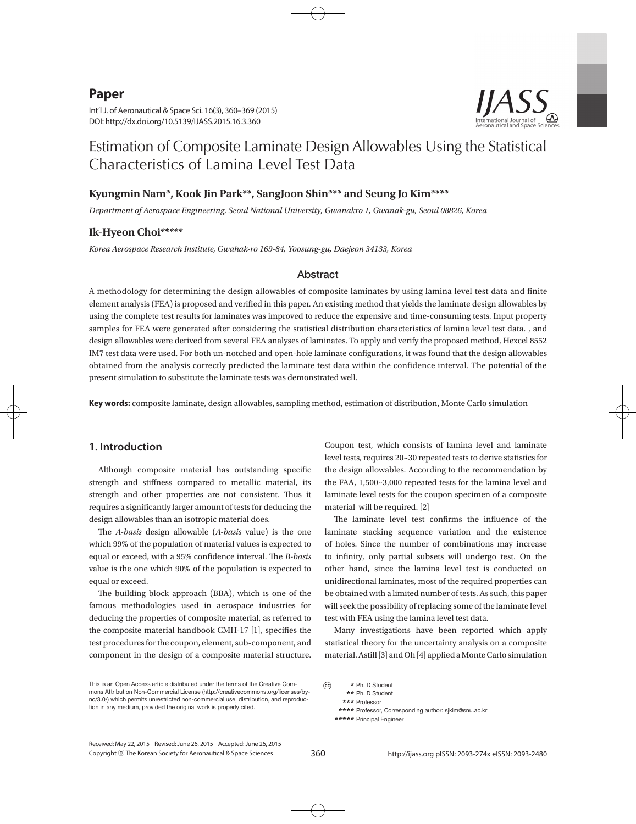**Paper**

Int'l J. of Aeronautical & Space Sci. 16(3), 360–369 (2015) DOI: http://dx.doi.org/10.5139/IJASS.2015.16.3.360



# Estimation of Composite Laminate Design Allowables Using the Statistical Characteristics of Lamina Level Test Data

## **Kyungmin Nam\*, Kook Jin Park\*\*, SangJoon Shin\*\*\* and Seung Jo Kim\*\*\*\***

*Department of Aerospace Engineering, Seoul National University, Gwanakro 1, Gwanak-gu, Seoul 08826, Korea*

# **Ik-Hyeon Choi\*\*\*\*\***

*Korea Aerospace Research Institute, Gwahak-ro 169-84, Yoosung-gu, Daejeon 34133, Korea*

### Abstract

A methodology for determining the design allowables of composite laminates by using lamina level test data and finite element analysis (FEA) is proposed and verified in this paper. An existing method that yields the laminate design allowables by using the complete test results for laminates was improved to reduce the expensive and time-consuming tests. Input property samples for FEA were generated after considering the statistical distribution characteristics of lamina level test data. , and design allowables were derived from several FEA analyses of laminates. To apply and verify the proposed method, Hexcel 8552 IM7 test data were used. For both un-notched and open-hole laminate configurations, it was found that the design allowables obtained from the analysis correctly predicted the laminate test data within the confidence interval. The potential of the present simulation to substitute the laminate tests was demonstrated well.

**Key words:** composite laminate, design allowables, sampling method, estimation of distribution, Monte Carlo simulation

## **1. Introduction**

Although composite material has outstanding specific strength and stiffness compared to metallic material, its strength and other properties are not consistent. Thus it requires a significantly larger amount of tests for deducing the design allowables than an isotropic material does.

The *A-basis* design allowable (*A-basis* value) is the one which 99% of the population of material values is expected to equal or exceed, with a 95% confidence interval. The *B-basis* value is the one which 90% of the population is expected to equal or exceed.

The building block approach (BBA), which is one of the famous methodologies used in aerospace industries for deducing the properties of composite material, as referred to the composite material handbook CMH-17 [1], specifies the test procedures for the coupon, element, sub-component, and component in the design of a composite material structure.

Coupon test, which consists of lamina level and laminate level tests, requires 20~30 repeated tests to derive statistics for the design allowables. According to the recommendation by the FAA, 1,500~3,000 repeated tests for the lamina level and laminate level tests for the coupon specimen of a composite material will be required. [2]

The laminate level test confirms the influence of the laminate stacking sequence variation and the existence of holes. Since the number of combinations may increase to infinity, only partial subsets will undergo test. On the other hand, since the lamina level test is conducted on unidirectional laminates, most of the required properties can be obtained with a limited number of tests. As such, this paper will seek the possibility of replacing some of the laminate level test with FEA using the lamina level test data.

Many investigations have been reported which apply statistical theory for the uncertainty analysis on a composite material. Astill [3] and Oh [4] applied a Monte Carlo simulation

 **\*** Ph. D Student  **\*\*** Ph. D Student  **\*\*\*** Professor

 **\*\*\*\*** Professor, Corresponding author: sjkim@snu.ac.kr

 **\*\*\*\*\*** Principal Engineer

Copyright ⓒ The Korean Society for Aeronautical & Space Sciences Received: May 22, 2015 Revised: June 26, 2015 Accepted: June 26, 2015  $\odot$ 

360 http://ijass.org pISSN: 2093-274x eISSN: 2093-2480

This is an Open Access article distributed under the terms of the Creative Commons Attribution Non-Commercial License (http://creativecommons.org/licenses/bync/3.0/) which permits unrestricted non-commercial use, distribution, and reproduction in any medium, provided the original work is properly cited.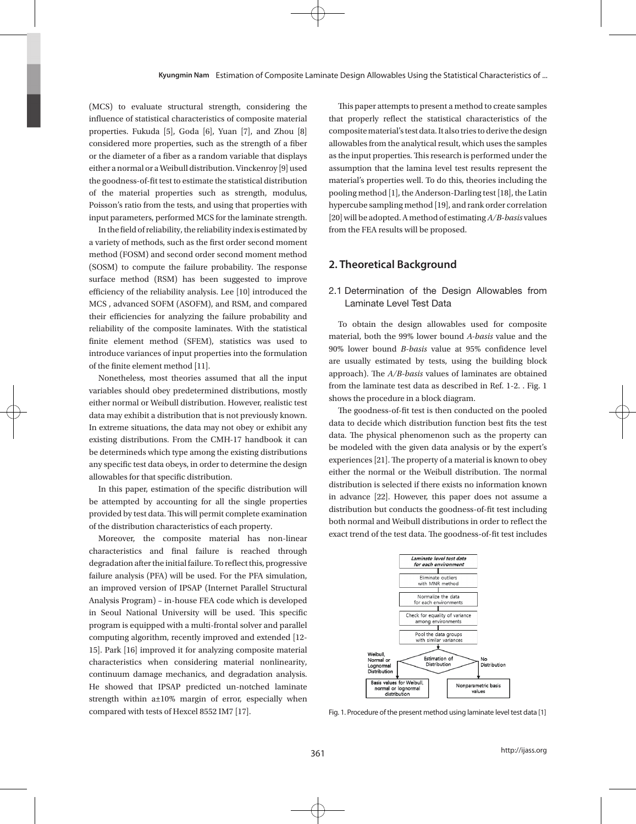(MCS) to evaluate structural strength, considering the influence of statistical characteristics of composite material properties. Fukuda [5], Goda [6], Yuan [7], and Zhou [8] considered more properties, such as the strength of a fiber or the diameter of a fiber as a random variable that displays either a normal or a Weibull distribution. Vinckenroy [9] used the goodness-of-fit test to estimate the statistical distribution of the material properties such as strength, modulus, Poisson's ratio from the tests, and using that properties with input parameters, performed MCS for the laminate strength.

In the field of reliability, the reliability index is estimated by a variety of methods, such as the first order second moment method (FOSM) and second order second moment method (SOSM) to compute the failure probability. The response surface method (RSM) has been suggested to improve efficiency of the reliability analysis. Lee [10] introduced the MCS , advanced SOFM (ASOFM), and RSM, and compared their efficiencies for analyzing the failure probability and reliability of the composite laminates. With the statistical finite element method (SFEM), statistics was used to introduce variances of input properties into the formulation of the finite element method [11].

Nonetheless, most theories assumed that all the input variables should obey predetermined distributions, mostly either normal or Weibull distribution. However, realistic test data may exhibit a distribution that is not previously known. In extreme situations, the data may not obey or exhibit any existing distributions. From the CMH-17 handbook it can be determineds which type among the existing distributions any specific test data obeys, in order to determine the design allowables for that specific distribution.

In this paper, estimation of the specific distribution will be attempted by accounting for all the single properties provided by test data. This will permit complete examination of the distribution characteristics of each property.

Moreover, the composite material has non-linear characteristics and final failure is reached through degradation after the initial failure. To reflect this, progressive failure analysis (PFA) will be used. For the PFA simulation, an improved version of IPSAP (Internet Parallel Structural Analysis Program) – in-house FEA code which is developed in Seoul National University will be used. This specific program is equipped with a multi-frontal solver and parallel computing algorithm, recently improved and extended [12- 15]. Park [16] improved it for analyzing composite material characteristics when considering material nonlinearity, continuum damage mechanics, and degradation analysis. He showed that IPSAP predicted un-notched laminate strength within a±10% margin of error, especially when compared with tests of Hexcel 8552 IM7 [17].

This paper attempts to present a method to create samples that properly reflect the statistical characteristics of the composite material's test data. It also tries to derive the design allowables from the analytical result, which uses the samples as the input properties. This research is performed under the assumption that the lamina level test results represent the material's properties well. To do this, theories including the pooling method [1], the Anderson-Darling test [18], the Latin hypercube sampling method [19], and rank order correlation [20] will be adopted. A method of estimating *A/B-basis* values from the FEA results will be proposed.

## **2. Theoretical Background**

## 2.1 Determination of the Design Allowables from Laminate Level Test Data

To obtain the design allowables used for composite material, both the 99% lower bound *A-basis* value and the 90% lower bound *B-basis* value at 95% confidence level are usually estimated by tests, using the building block approach). The *A/B-basis* values of laminates are obtained from the laminate test data as described in Ref. 1-2. . Fig. 1 shows the procedure in a block diagram.

The goodness-of-fit test is then conducted on the pooled data to decide which distribution function best fits the test data. The physical phenomenon such as the property can be modeled with the given data analysis or by the expert's experiences [21]. The property of a material is known to obey either the normal or the Weibull distribution. The normal distribution is selected if there exists no information known in advance [22]. However, this paper does not assume a distribution but conducts the goodness-of-fit test including both normal and Weibull distributions in order to reflect the exact trend of the test data. The goodness-of-fit test includes



Fig. 1. Procedure of the present method using laminate level test data [1]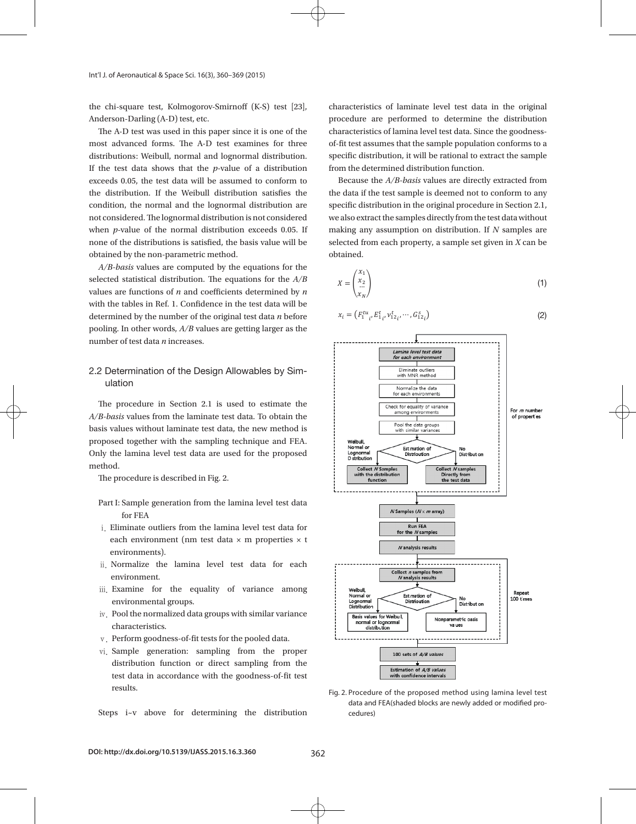the chi-square test, Kolmogorov-Smirnoff (K-S) test [23], Anderson-Darling (A-D) test, etc.

The A-D test was used in this paper since it is one of the most advanced forms. The A-D test examines for three distributions: Weibull, normal and lognormal distribution. If the test data shows that the *p*-value of a distribution exceeds 0.05, the test data will be assumed to conform to the distribution. If the Weibull distribution satisfies the condition, the normal and the lognormal distribution are not considered. The lognormal distribution is not considered when *p*-value of the normal distribution exceeds 0.05. If none of the distributions is satisfied, the basis value will be obtained by the non-parametric method.

*A/B-basis* values are computed by the equations for the selected statistical distribution. The equations for the *A/B*  values are functions of *n* and coefficients determined by *n*  with the tables in Ref. 1. Confidence in the test data will be determined by the number of the original test data *n* before pooling. In other words, *A/B* values are getting larger as the number of test data *n* increases.

# 2.2 Determination of the Design Allowables by Simulation

The procedure in Section 2.1 is used to estimate the *A/B-basis* values from the laminate test data. To obtain the basis values without laminate test data, the new method is proposed together with the sampling technique and FEA. Only the lamina level test data are used for the proposed method.

The procedure is described in Fig. 2.

- Part I: Sample generation from the lamina level test data for FEA
- ⅰ. Eliminate outliers from the lamina level test data for each environment (nm test data  $\times$  m properties  $\times$  t environments).
- ⅱ. Normalize the lamina level test data for each environment.
- iii. Examine for the equality of variance among environmental groups.
- ⅳ. Pool the normalized data groups with similar variance characteristics.
- v. Perform goodness-of-fit tests for the pooled data.
- ⅵ. Sample generation: sampling from the proper distribution function or direct sampling from the test data in accordance with the goodness-of-fit test results.

Steps i~v above for determining the distribution

characteristics of laminate level test data in the original procedure are performed to determine the distribution r<br>characteristics of lamina level test data. Since the goodnessof-fit test assumes that the sample population conforms to a specific distribution, it will be rational to extract the sample from the determined distribution function. Since the goodness-of-fit test assumes that the sample population conforms to a specific distribution,  $\alpha$ Because the *A/B-basis* values are directly extracted from the data if the test sample is deemed not to

Because the *A/B-basis* values are directly extracted from the data if the test sample is deemed not to conform to any specific distribution in the original procedure in Section 2.1, we also extract the samples directly from the test data without  $\,$ making any assumption on distribution. If  $N$  samples are selected from each property, a sample set given in  $X$  can be obtained. samples directly from the test data without making any assumption on distribution. If *N* samples are

$$
X = \begin{pmatrix} x_1 \\ x_2 \\ \vdots \\ x_N \end{pmatrix} \tag{1}
$$

$$
x_i = \left( F_{1 \ i}^{t u}, F_{1 \ i}^{t}, v_{1 2 \ i}^{t}, \cdots, G_{1 2 \ i}^{s} \right) \tag{2}
$$



Fig. 2. Procedure of the proposed method using lamina level test data and FEA(shaded blocks are newly added or modified procedures)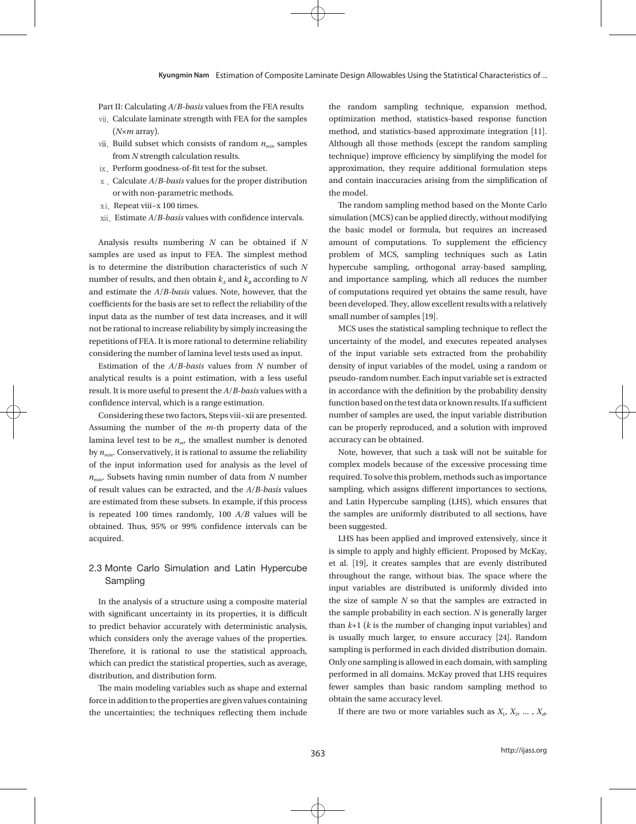Part II: Calculating *A*/*B-basis* values from the FEA results

- ⅶ. Calculate laminate strength with FEA for the samples (*N×m* array).
- viii. Build subset which consists of random  $n_{min}$  samples from *N* strength calculation results.
- ⅸ. Perform goodness-of-fit test for the subset.
- ⅹ. Calculate *A*/*B-basis* values for the proper distribution or with non-parametric methods.
- xi. Repeat viii~x 100 times.
- ⅹⅱ. Estimate *A*/*B-basis* values with confidence intervals.

Analysis results numbering *N* can be obtained if *N* samples are used as input to FEA. The simplest method is to determine the distribution characteristics of such *N*  number of results, and then obtain  $k_A$  and  $k_B$  according to N and estimate the *A*/*B-basis* values. Note, however, that the coefficients for the basis are set to reflect the reliability of the input data as the number of test data increases, and it will not be rational to increase reliability by simply increasing the repetitions of FEA. It is more rational to determine reliability considering the number of lamina level tests used as input.

Estimation of the *A*/*B-basis* values from *N* number of analytical results is a point estimation, with a less useful result. It is more useful to present the *A*/*B-basis* values with a confidence interval, which is a range estimation.

Considering these two factors, Steps viii~xii are presented. Assuming the number of the *m*-th property data of the lamina level test to be  $n_{m}$ , the smallest number is denoted by  $n_{min}$ . Conservatively, it is rational to assume the reliability of the input information used for analysis as the level of *nmin*. Subsets having nmin number of data from *N* number of result values can be extracted, and the *A*/*B-basis* values are estimated from these subsets. In example, if this process is repeated 100 times randomly, 100 *A/B* values will be obtained. Thus, 95% or 99% confidence intervals can be acquired.

# 2.3 Monte Carlo Simulation and Latin Hypercube Sampling

In the analysis of a structure using a composite material with significant uncertainty in its properties, it is difficult to predict behavior accurately with deterministic analysis, which considers only the average values of the properties. Therefore, it is rational to use the statistical approach, which can predict the statistical properties, such as average, distribution, and distribution form.

The main modeling variables such as shape and external force in addition to the properties are given values containing the uncertainties; the techniques reflecting them include the random sampling technique, expansion method, optimization method, statistics-based response function method, and statistics-based approximate integration [11]. Although all those methods (except the random sampling technique) improve efficiency by simplifying the model for approximation, they require additional formulation steps and contain inaccuracies arising from the simplification of the model.

The random sampling method based on the Monte Carlo simulation (MCS) can be applied directly, without modifying the basic model or formula, but requires an increased amount of computations. To supplement the efficiency problem of MCS, sampling techniques such as Latin hypercube sampling, orthogonal array-based sampling, and importance sampling, which all reduces the number of computations required yet obtains the same result, have been developed. They, allow excellent results with a relatively small number of samples [19].

MCS uses the statistical sampling technique to reflect the uncertainty of the model, and executes repeated analyses of the input variable sets extracted from the probability density of input variables of the model, using a random or pseudo-random number. Each input variable set is extracted in accordance with the definition by the probability density function based on the test data or known results. If a sufficient number of samples are used, the input variable distribution can be properly reproduced, and a solution with improved accuracy can be obtained.

Note, however, that such a task will not be suitable for complex models because of the excessive processing time required. To solve this problem, methods such as importance sampling, which assigns different importances to sections, and Latin Hypercube sampling (LHS), which ensures that the samples are uniformly distributed to all sections, have been suggested.

LHS has been applied and improved extensively, since it is simple to apply and highly efficient. Proposed by McKay, et al. [19], it creates samples that are evenly distributed throughout the range, without bias. The space where the input variables are distributed is uniformly divided into the size of sample *N* so that the samples are extracted in the sample probability in each section. *N* is generally larger than *k*+1 (*k* is the number of changing input variables) and is usually much larger, to ensure accuracy [24]. Random sampling is performed in each divided distribution domain. Only one sampling is allowed in each domain, with sampling performed in all domains. McKay proved that LHS requires fewer samples than basic random sampling method to obtain the same accuracy level.

If there are two or more variables such as  $X_1, X_2, \ldots, X_d$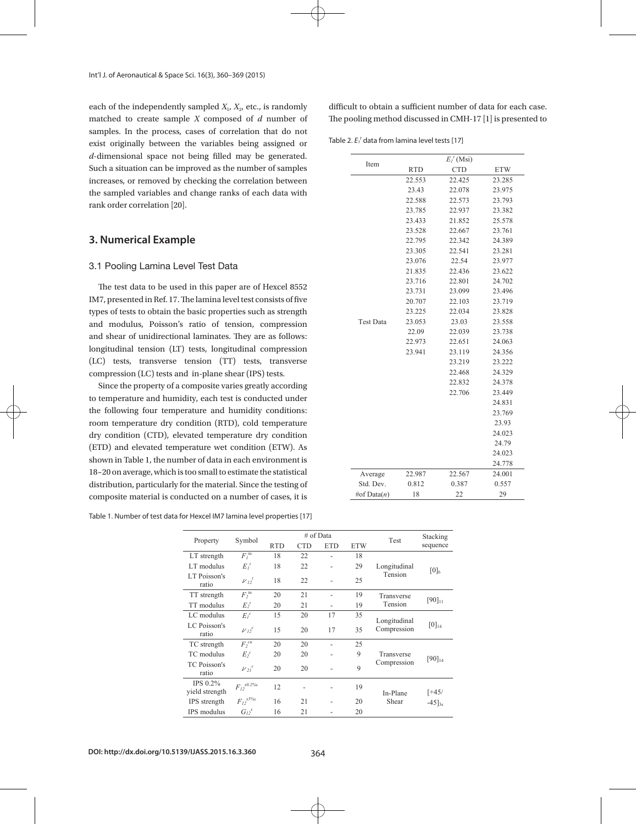each of the independently sampled  $X_1$ ,  $X_2$ , etc., is randomly matched to create sample *X* composed of *d* number of samples. In the process, cases of correlation that do not exist originally between the variables being assigned or *d*-dimensional space not being filled may be generated. Such a situation can be improved as the number of samples increases, or removed by checking the correlation between the sampled variables and change ranks of each data with rank order correlation [20].

# **3. Numerical Example**

#### 3.1 Pooling Lamina Level Test Data

The test data to be used in this paper are of Hexcel 8552 IM7, presented in Ref. 17. The lamina level test consists of five types of tests to obtain the basic properties such as strength and modulus, Poisson's ratio of tension, compression and shear of unidirectional laminates. They are as follows: longitudinal tension (LT) tests, longitudinal compression (LC) tests, transverse tension (TT) tests, transverse compression (LC) tests and in-plane shear (IPS) tests.

Since the property of a composite varies greatly according to temperature and humidity, each test is conducted under the following four temperature and humidity conditions: room temperature dry condition (RTD), cold temperature dry condition (CTD), elevated temperature dry condition (ETD) and elevated temperature wet condition (ETW). As shown in Table 1, the number of data in each environment is 18~20 on average, which is too small to estimate the statistical distribution, particularly for the material. Since the testing of composite material is conducted on a number of cases, it is

Table 1. Number of test data for Hexcel IM7 lamina level properties [17] Table 1. Number of test data for Hexcel IM7 lamina level properties [17]

difficult to obtain a sufficient number of data for each case. The pooling method discussed in CMH-17 [1] is presented to

Table 2.  $E_t$ <sup>t</sup> data from lamina level tests [17]

| Item             |            | $E_I^t(Msi)$ |            |
|------------------|------------|--------------|------------|
|                  | <b>RTD</b> | <b>CTD</b>   | <b>ETW</b> |
|                  | 22.553     | 22.425       | 23.285     |
|                  | 23.43      | 22.078       | 23.975     |
|                  | 22.588     | 22.573       | 23.793     |
|                  | 23.785     | 22.937       | 23.382     |
|                  | 23.433     | 21.852       | 25.578     |
|                  | 23.528     | 22.667       | 23.761     |
|                  | 22.795     | 22.342       | 24.389     |
|                  | 23.305     | 22.541       | 23.281     |
|                  | 23.076     | 22.54        | 23.977     |
|                  | 21.835     | 22.436       | 23.622     |
|                  | 23.716     | 22.801       | 24.702     |
|                  | 23.731     | 23.099       | 23.496     |
|                  | 20.707     | 22.103       | 23.719     |
|                  | 23.225     | 22.034       | 23.828     |
| <b>Test Data</b> | 23.053     | 23.03        | 23.558     |
|                  | 22.09      | 22.039       | 23.738     |
|                  | 22.973     | 22.651       | 24.063     |
|                  | 23.941     | 23.119       | 24.356     |
|                  |            | 23.219       | 23.222     |
|                  |            | 22.468       | 24.329     |
|                  |            | 22.832       | 24.378     |
|                  |            | 22.706       | 23.449     |
|                  |            |              | 24.831     |
|                  |            |              | 23.769     |
|                  |            |              | 23.93      |
|                  |            |              | 24.023     |
|                  |            |              | 24.79      |
|                  |            |              | 24.023     |
|                  |            |              | 24.778     |
| Average          | 22.987     | 22.567       | 24.001     |
| Std. Dev.        | 0.812      | 0.387        | 0.557      |
| #of Data $(n)$   | 18         | 22           | 29         |

| Property                     | Symbol                                                                               | # of Data  |            |                          |            | Test                        | Stacking              |  |
|------------------------------|--------------------------------------------------------------------------------------|------------|------------|--------------------------|------------|-----------------------------|-----------------------|--|
|                              |                                                                                      | <b>RTD</b> | <b>CTD</b> | <b>ETD</b>               | <b>ETW</b> |                             | sequence              |  |
| LT strength                  | $F_i^{\mu}$                                                                          | 18         | 22         | $\overline{\phantom{0}}$ | 18         |                             |                       |  |
| LT modulus                   | $E_I^t$                                                                              | 18         | 22         | ٠                        | 29         | Longitudinal                | $[0]_6$               |  |
| LT Poisson's<br>ratio        | $\nu_1^t$                                                                            | 18         | 22         | $\overline{a}$           | 25         | Tension                     |                       |  |
| TT strength                  | $F^{tu}$                                                                             | 20         | 21         | $\overline{\phantom{0}}$ | 19         | Transverse                  | $[90]_{11}$           |  |
| TT modulus                   | $E^I$                                                                                | 20         | 21         | $\overline{\phantom{0}}$ | 19         | Tension                     |                       |  |
| LC modulus                   | $E_i^c$                                                                              | 15         | 20         | 17                       | 35         |                             |                       |  |
| LC Poisson's<br>ratio        | $\nu_{D}^{\;\;c}$                                                                    | 15         | 20         | 17                       | 35         | Longitudinal<br>Compression | $[0]_{14}$            |  |
| TC strength                  | $F^{cu}$                                                                             | 20         | 20         |                          | 25         |                             |                       |  |
| TC modulus                   | $E^c$                                                                                | 20         | 20         |                          | 9          | Transverse                  | $[90]_{14}$           |  |
| <b>TC Poisson's</b><br>ratio | $\nu_{2l}^{\quad c}$                                                                 | 20         | 20         |                          | 9          | Compression                 |                       |  |
| IPS 0.2%<br>yield strength   | ${F_{\scriptscriptstyle I}}^{\scriptscriptstyle s0.2\%{\scriptscriptstyle\cal E}}_z$ | 12         |            | $\overline{\phantom{0}}$ | 19         | In-Plane                    | $[+45/$               |  |
| IPS strength                 | ${F_{I2}}^{s5\%e}$                                                                   | 16         | 21         |                          | 20         | Shear                       | $-45$ ] <sub>3s</sub> |  |
| IPS modulus                  | $G_{12}^s$                                                                           | 16         | 21         |                          | 20         |                             |                       |  |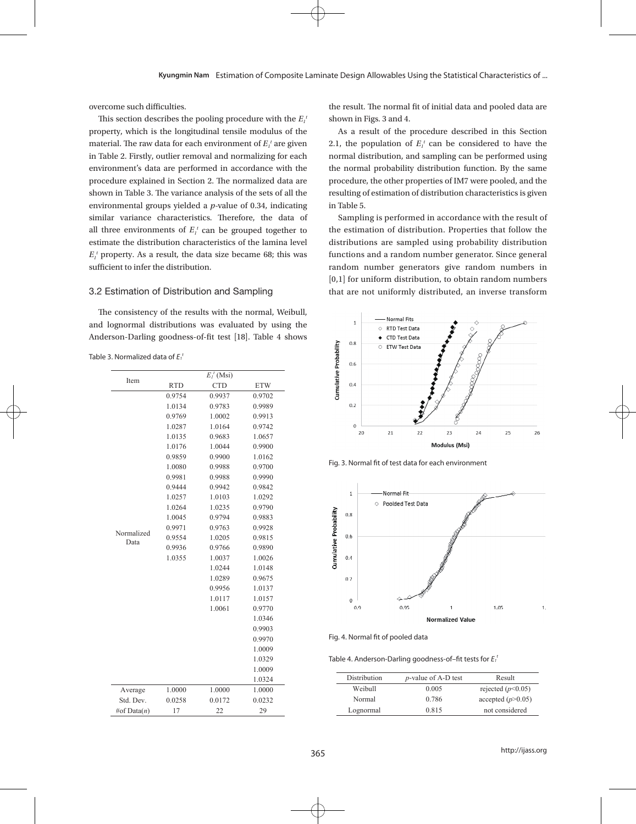overcome such difficulties.

This section describes the pooling procedure with the  $E_i^{\mu}$ property, which is the longitudinal tensile modulus of the material. The raw data for each environment of  $E_i^t$  are given in Table 2. Firstly, outlier removal and normalizing for each environment's data are performed in accordance with the procedure explained in Section 2. The normalized data are shown in Table 3. The variance analysis of the sets of all the environmental groups yielded a *p*-value of 0.34, indicating similar variance characteristics. Therefore, the data of all three environments of  $E_i^t$  can be grouped together to estimate the distribution characteristics of the lamina level  $E_i$ <sup>t</sup> property. As a result, the data size became 68; this was sufficient to infer the distribution.

#### 3.2 Estimation of Distribution and Sampling

The consistency of the results with the normal, Weibull, and lognormal distributions was evaluated by using the Anderson-Darling goodness-of-fit test [18]. Table 4 shows

Table 3. Normalized data of *E1 t* Table 3. Normalized data of *E1*

|                    | $E_I^t(Msi)$ |            |            |  |  |  |  |  |
|--------------------|--------------|------------|------------|--|--|--|--|--|
| Item               | <b>RTD</b>   | <b>CTD</b> | <b>ETW</b> |  |  |  |  |  |
|                    | 0.9754       | 0.9937     | 0.9702     |  |  |  |  |  |
|                    | 1.0134       | 0.9783     | 0.9989     |  |  |  |  |  |
|                    | 0.9769       | 1.0002     | 0.9913     |  |  |  |  |  |
|                    | 1.0287       | 1.0164     | 0.9742     |  |  |  |  |  |
|                    | 1.0135       | 0.9683     | 1.0657     |  |  |  |  |  |
|                    | 1.0176       | 1.0044     | 0.9900     |  |  |  |  |  |
|                    | 0.9859       | 0.9900     | 1.0162     |  |  |  |  |  |
|                    | 1.0080       | 0.9988     | 0.9700     |  |  |  |  |  |
|                    | 0.9981       | 0.9988     | 0.9990     |  |  |  |  |  |
|                    | 0.9444       | 0.9942     | 0.9842     |  |  |  |  |  |
|                    | 1.0257       | 1.0103     | 1.0292     |  |  |  |  |  |
|                    | 1.0264       | 1.0235     | 0.9790     |  |  |  |  |  |
|                    | 1.0045       | 0.9794     | 0.9883     |  |  |  |  |  |
|                    | 0.9971       | 0.9763     | 0.9928     |  |  |  |  |  |
| Normalized<br>Data | 0.9554       | 1.0205     | 0.9815     |  |  |  |  |  |
|                    | 0.9936       | 0.9766     | 0.9890     |  |  |  |  |  |
|                    | 1.0355       | 1.0037     | 1.0026     |  |  |  |  |  |
|                    |              | 1.0244     | 1.0148     |  |  |  |  |  |
|                    |              | 1.0289     | 0.9675     |  |  |  |  |  |
|                    |              | 0.9956     | 1.0137     |  |  |  |  |  |
|                    |              | 1.0117     | 1.0157     |  |  |  |  |  |
|                    |              | 1.0061     | 0.9770     |  |  |  |  |  |
|                    |              |            | 1.0346     |  |  |  |  |  |
|                    |              |            | 0.9903     |  |  |  |  |  |
|                    |              |            | 0.9970     |  |  |  |  |  |
|                    |              |            | 1.0009     |  |  |  |  |  |
|                    |              |            | 1.0329     |  |  |  |  |  |
|                    |              |            | 1.0009     |  |  |  |  |  |
|                    |              |            | 1.0324     |  |  |  |  |  |
| Average            | 1.0000       | 1.0000     | 1.0000     |  |  |  |  |  |
| Std. Dev.          | 0.0258       | 0.0172     | 0.0232     |  |  |  |  |  |
| #of Data(n)        | 17           | 22         | 29         |  |  |  |  |  |

the result. The normal fit of initial data and pooled data are shown in Figs. 3 and 4.

As a result of the procedure described in this Section 2.1, the population of  $E_i^t$  can be considered to have the normal distribution, and sampling can be performed using the normal probability distribution function. By the same procedure, the other properties of IM7 were pooled, and the resulting of estimation of distribution characteristics is given in Table 5.

Sampling is performed in accordance with the result of the estimation of distribution. Properties that follow the distributions are sampled using probability distribution functions and a random number generator. Since general random number generators give random numbers in [0,1] for uniform distribution, to obtain random numbers that are not uniformly distributed, an inverse transform



Fig. 3. Normal fit of test data for each environment



Fig. 4. Normal fit of pooled data Fig. 4. Normal fit of pooled data

Table 4. Anderson-Darling goodness-of–fit tests for *E1 t* Table 4. Anderson-Darling goodness-of–fit tests for *E1*

| Distribution | <i>p</i> -value of A-D test | Result              |
|--------------|-----------------------------|---------------------|
| Weibull      | 0.005                       | rejected $(p<0.05)$ |
| Normal       | 0.786                       | accepted $(p>0.05)$ |
| Lognormal    | 0.815                       | not considered      |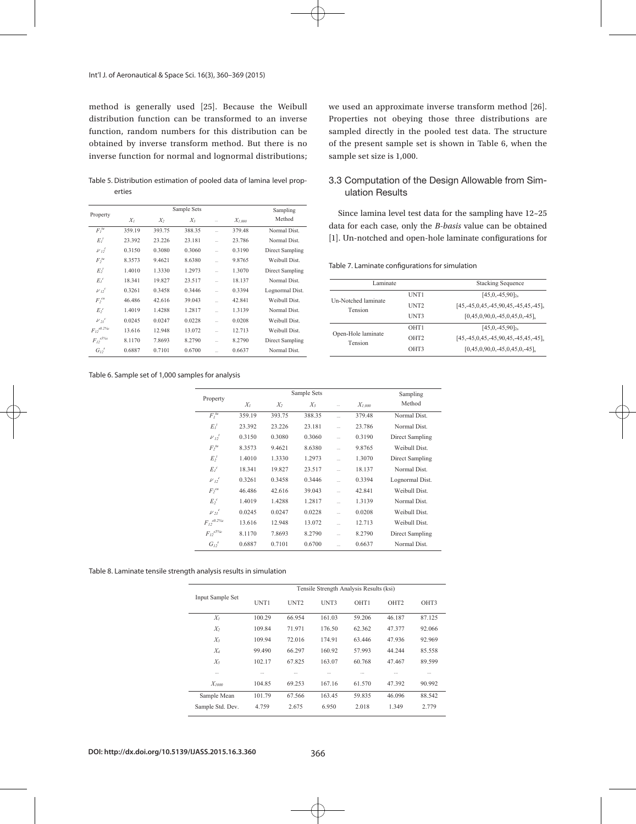#### Int'l J. of Aeronautical & Space Sci. 16(3), 360–369 (2015)

method is generally used [25]. Because the Weibull distribution function can be transformed to an inverse function, random numbers for this distribution can be obtained by inverse transform method. But there is no inverse function for normal and lognormal distributions;

Table 5. Distribution estimation of pooled data of lamina level properties  $T<sub>1</sub>$  set of 1,000 sample set of 1,000 samples for analysis for analysis for analysis for analysis for analysis for analysis for an allow  $T<sub>2</sub>$  samples for an allow  $T<sub>2</sub>$  samples for an allow  $T<sub>2</sub>$  sam

|                                        |                                       | Sample Sets |             |           |        |                 |  |  |  |
|----------------------------------------|---------------------------------------|-------------|-------------|-----------|--------|-----------------|--|--|--|
| Property                               | $X_I$<br>$X_{2}$<br>$X_3$<br>$\cdots$ |             | $X_{1,000}$ | Method    |        |                 |  |  |  |
| F <sub>t</sub> <sup>tu</sup>           | 359.19                                | 393.75      | 388.35      |           | 379.48 | Normal Dist.    |  |  |  |
| $E_I$                                  | 23.392                                | 23.226      | 23.181      |           | 23.786 | Normal Dist     |  |  |  |
| $\nu_1^t$                              | 0.3150                                | 0.3080      | 0.3060      | $\sim$    | 0.3190 | Direct Sampling |  |  |  |
| F <sub>2</sub> <sup>tu</sup>           | 8.3573                                | 9.4621      | 8.6380      | $\sim$    | 9.8765 | Weibull Dist.   |  |  |  |
| $E_2^I$                                | 1.4010                                | 1.3330      | 1.2973      | u.        | 1.3070 | Direct Sampling |  |  |  |
| $E_i^c$                                | 18.341                                | 19.827      | 23.517      |           | 18.137 | Normal Dist     |  |  |  |
| $\nu_2^c$                              | 0.3261                                | 0.3458      | 0.3446      | $\sim$    | 0.3394 | Lognormal Dist. |  |  |  |
| $F_2^{cu}$                             | 46.486                                | 42.616      | 39.043      | $\ddotsc$ | 42.841 | Weibull Dist    |  |  |  |
| $E_2^c$                                | 1.4019                                | 1.4288      | 1.2817      | $\sim$    | 1.3139 | Normal Dist     |  |  |  |
| $\nu_{2l}^{\;\;c}$                     | 0.0245                                | 0.0247      | 0.0228      | $\ddotsc$ | 0.0208 | Weibull Dist.   |  |  |  |
| ${F_{\textit{I2}}}^{\textit{s0.2\%c}}$ | 13.616                                | 12.948      | 13.072      | $\ddotsc$ | 12.713 | Weibull Dist    |  |  |  |
| $F_{I2}^{s5\%c}$                       | 8.1170                                | 7.8693      | 8.2790      | $\ddotsc$ | 8.2790 | Direct Sampling |  |  |  |
| $G_{12}^s$                             | 0.6887                                | 0.7101      | 0.6700      | $\ddotsc$ | 0.6637 | Normal Dist     |  |  |  |

## Table 6. Sample set of 1,000 samples for analysis Table 6. Sample set of 1,000 samples for analysis

we used an approximate inverse transform method [26]. Properties not obeying those three distributions are sampled directly in the pooled test data. The structure of the present sample set is shown in Table 6, when the sample set size is 1,000.

## 3.3 Computation of the Design Allowable from Simulation Results

Since lamina level test data for the sampling have 12~25 data for each case, only the *B-basis* value can be obtained [1]. Un-notched and open-hole laminate configurations for

| Table 7. Laminate configurations for simulation |  |
|-------------------------------------------------|--|
|-------------------------------------------------|--|

| Laminate                       |                  | <b>Stacking Sequence</b>                      |
|--------------------------------|------------------|-----------------------------------------------|
| Un-Notched laminate<br>Tension | UNT1             | $[45,0,-45,90]$ <sub>2s</sub>                 |
|                                | UNT <sub>2</sub> | $[45, -45, 0, 45, -45, 90, 45, -45, 45, -45]$ |
|                                | UNT3             | $[0,45,0,90,0,-45,0,45,0,-45]$                |
| Open-Hole laminate<br>Tension  | OHT <sub>1</sub> | $[45, 0, -45, 90]_{2s}$                       |
|                                | OHT <sub>2</sub> | $[45, -45, 0, 45, -45, 90, 45, -45, 45, -45]$ |
|                                | OHT3             | $[0,45,0,90,0,-45,0,45,0,-45]$                |

|                     |        | Sample Sets |        |    |             |                 |  |  |  |
|---------------------|--------|-------------|--------|----|-------------|-----------------|--|--|--|
| Property            | $X_I$  | $X_2$       | $X_3$  |    | $X_{1,000}$ | Method          |  |  |  |
| $F_l^{\mu}$         | 359.19 | 393.75      | 388.35 |    | 379.48      | Normal Dist.    |  |  |  |
| $E_I^t$             | 23.392 | 23.226      | 23.181 | ă. | 23.786      | Normal Dist     |  |  |  |
| $\nu_{12}^{\prime}$ | 0.3150 | 0.3080      | 0.3060 | ù. | 0.3190      | Direct Sampling |  |  |  |
| $F_2^{tu}$          | 8.3573 | 9.4621      | 8.6380 | ù. | 9.8765      | Weibull Dist.   |  |  |  |
| $E_2^t$             | 1.4010 | 1.3330      | 1.2973 | ш. | 1.3070      | Direct Sampling |  |  |  |
| $E_i^c$             | 18.341 | 19.827      | 23.517 | ш. | 18.137      | Normal Dist     |  |  |  |
| $\nu_2^c$           | 0.3261 | 0.3458      | 0.3446 |    | 0.3394      | Lognormal Dist. |  |  |  |
| $F^{cu}$            | 46.486 | 42.616      | 39.043 | ù. | 42.841      | Weibull Dist.   |  |  |  |
| $E^c$               | 1.4019 | 1.4288      | 1.2817 | ù. | 1.3139      | Normal Dist     |  |  |  |
| $\nu_{21}^{\circ}$  | 0.0245 | 0.0247      | 0.0228 | ù. | 0.0208      | Weibull Dist.   |  |  |  |
| ${F_{I2}}^{s0.2\%}$ | 13.616 | 12.948      | 13.072 | ш. | 12.713      | Weibull Dist.   |  |  |  |
| ${F_{I2}}^{s5\%c}$  | 8.1170 | 7.8693      | 8.2790 |    | 8.2790      | Direct Sampling |  |  |  |
| $G_{12}^s$          | 0.6887 | 0.7101      | 0.6700 | ù. | 0.6637      | Normal Dist.    |  |  |  |

#### Table 8. Laminate tensile strength analysis results in simulation Table 8. Laminate tensile strength analysis results in simulation

|                  | Tensile Strength Analysis Results (ksi) |                  |          |        |                  |          |  |  |  |
|------------------|-----------------------------------------|------------------|----------|--------|------------------|----------|--|--|--|
| Input Sample Set | UNT1                                    | UNT <sub>2</sub> | UNT3     | OHT1   | OHT <sub>2</sub> | OHT3     |  |  |  |
| $X_I$            | 100.29                                  | 66.954           | 161.03   | 59.206 | 46.187           | 87.125   |  |  |  |
| $X_2$            | 109.84                                  | 71.971           | 176.50   | 62 362 | 47 377           | 92.066   |  |  |  |
| $X_3$            | 109.94                                  | 72 016           | 17491    | 63 446 | 47.936           | 92.969   |  |  |  |
| $X_4$            | 99.490                                  | 66 297           | 160.92   | 57.993 | 44 244           | 85.558   |  |  |  |
| $X_5$            | 102.17                                  | 67825            | 163.07   | 60.768 | 47467            | 89.599   |  |  |  |
| $\sim$           | $\cdots$                                | $\cdots$         | $\cdots$ | $\sim$ | $\cdots$         | $\cdots$ |  |  |  |
| $X_{1000}$       | 104.85                                  | 69.253           | 167.16   | 61.570 | 47 392           | 90.992   |  |  |  |
| Sample Mean      | 101.79                                  | 67.566           | 16345    | 59.835 | 46.096           | 88.542   |  |  |  |
| Sample Std. Dev. | 4.759                                   | 2.675            | 6.950    | 2.018  | 1.349            | 2.779    |  |  |  |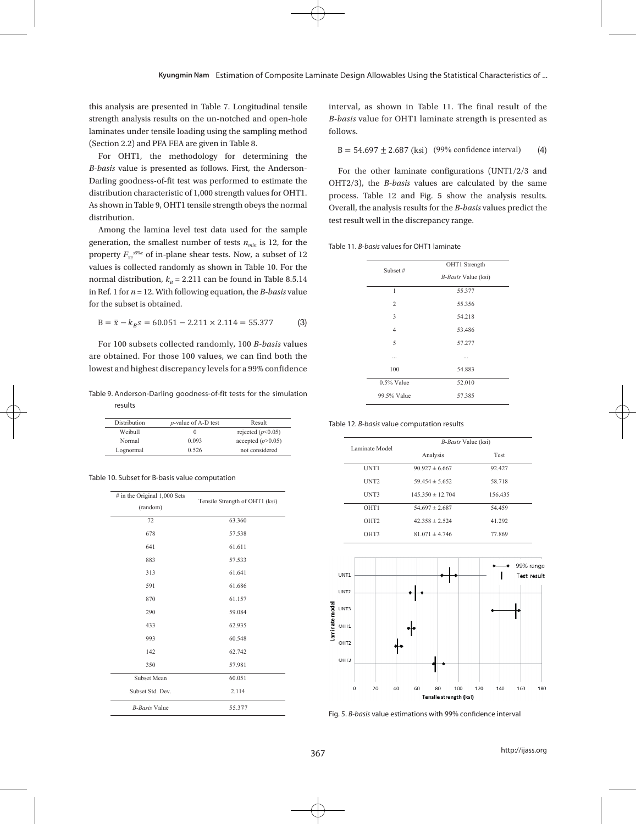this analysis are presented in Table 7. Longitudinal tensile strength analysis results on the un-notched and open-hole laminates under tensile loading using the sampling method (Section 2.2) and PFA FEA are given in Table 8.

For OHT1, the methodology for determining the  $\blacksquare$ *B-basis* value is presented as follows. First, the Anderson-Darling goodness-of-fit test was performed to estimate the oHT2/3), the *B-basis* values and distribution characteristic of 1,000 strength values for OHT1. distribution. As shown in Table 9, OHT1 tensile strength obeys the normal distribution.

Among the lamina level test data used for the sample generation, the smallest number of tests  $n_{min}$  is 12, for the  $\overline{r}_{Table 11}$ , *B*-basis values for OHT1 lam property *F*12*s5*%*<sup>ε</sup>* of in-plane shear tests. Now, a subset of 12 values is collected randomly as shown in Table 10. For the  $S_{\text{inert}}$ normal distribution,  $k_B = 2.211$  can be found in Table 8.5.14  $\frac{1}{2}$  in Ref. 1 for  $n = 12$ . With following equation, the *B-basis* value for the subset is obtained.

$$
B = \bar{x} - k_B s = 60.051 - 2.211 \times 2.114 = 55.377
$$
 (3)

Table 9. Anderson-Darling goodness-of-fit tests for the simulation **in the strength is presented as follows.** 99<br>- معالجته results Table 9. Anderson-Darling goodness-of-fit tests for the simulation results for the simulation results for the simulation results for the simulation results for the simulation results for the simulation results for the simu

| Distribution | <i>p</i> -value of A-D test | Result              | Table 12, B-basis value com |
|--------------|-----------------------------|---------------------|-----------------------------|
| Weibull      |                             | rejected $(p<0.05)$ |                             |
| Normal       | 0.093                       | accepted $(p>0.05)$ |                             |
| Lognormal    | 0.526                       | not considered      | Laminate Model              |

| Table 10. Subset for B-basis value computation |  |
|------------------------------------------------|--|
|------------------------------------------------|--|

| Tensile Strength of OHT1 (ksi) |        |  |                |                                        | UNT3 |                  |  |    | $145.350 \pm 12$ |                  |                            |  |  |
|--------------------------------|--------|--|----------------|----------------------------------------|------|------------------|--|----|------------------|------------------|----------------------------|--|--|
|                                |        |  |                |                                        |      | OHT1             |  |    | $54.697 \pm 2.$  |                  |                            |  |  |
|                                | 63.360 |  |                |                                        |      | OHT <sub>2</sub> |  |    |                  | $42.358 \pm 2.3$ |                            |  |  |
|                                | 57.538 |  |                |                                        |      | OHT3             |  |    |                  | $81.071 \pm 4.$  |                            |  |  |
|                                | 61.611 |  |                |                                        |      |                  |  |    |                  |                  |                            |  |  |
|                                | 57.533 |  |                |                                        |      |                  |  |    |                  |                  |                            |  |  |
|                                | 61.641 |  |                | <b>UN11</b>                            |      |                  |  |    |                  |                  |                            |  |  |
|                                | 61.686 |  |                | UNT2                                   |      |                  |  |    |                  |                  |                            |  |  |
|                                | 61.157 |  |                |                                        |      |                  |  |    |                  |                  |                            |  |  |
|                                | 59.084 |  |                | UNT3                                   |      |                  |  |    |                  |                  |                            |  |  |
|                                | 62.935 |  | Laminate model | 01111                                  |      |                  |  |    |                  |                  |                            |  |  |
|                                | 60.548 |  |                | OHT <sub>2</sub>                       |      |                  |  |    |                  |                  |                            |  |  |
|                                | 62.742 |  |                |                                        |      |                  |  |    |                  |                  |                            |  |  |
|                                | 57.981 |  |                | OIII3                                  |      |                  |  |    |                  |                  |                            |  |  |
|                                | 60.051 |  |                |                                        |      |                  |  |    |                  |                  |                            |  |  |
|                                | 2.114  |  |                |                                        | 0    | 20               |  | 40 | 60               |                  | 80<br>Tensile <sub>s</sub> |  |  |
|                                | 55.377 |  |                | Fig. 5. B-basis value estimations with |      |                  |  |    |                  |                  |                            |  |  |

interval, as shown in Table 11. The final result of the *B-basis* value for OHT1 laminate strength is presented as follows.

for *n* = 12. With following equation, the *B-basis* value for the subset is obtained.

ማግኘት የሚያስችል ጥር ግን የሚያስችል ጥር ግን የሚያስችል ጥር ግን የሚያስችል ጥር ግን የሚያስችል ጥር ግን የሚያስችል ጥር ግን የሚያስችል ጥር ግን የሚያስችል ጥር ግን የ

for *n* = 12. With following equation, the *B-basis* value for the subset is obtained.

ማግ ሞክሮ ምክር ማግ ምክር ማግ ምክር ማግ ምክር ማግ ምክር ማግ ምክር ማግ ምክር ማግ ምክር ማግ ምክር ማግ ምክር ማግ ምክር ማግ ምክር ማግ ምክር ማግ ምክር ማግ ምክር ማ<br>የአማርኛ ምክር ማግ ምክር ማግ ምክር ማግ ምክር ማግ ምክር ማግ ምክር ማግ ምክር ማግ ምክር ማግ ምክር ማግ ምክር ማግ ምክር ማግ ምክር ማግ ምክር ማግ ምክር ማግ ምክር ማ

 $B = 54.697 \pm 2.687$  (ksi) (99% confidence interval) (4) (4)

ibution.<br>
test result well in the discrepancy range. OHT2/3), the *B-basis* values are calculated by the same Overall, the analysis results for the B-basis values predict the For the other laminate configurations (UNT1/2/3 and process. Table 12 and Fig. 5 show the analysis results.

Table 11. *B-basis* values for OHT1 laminate Table 11. *B-basis* values for OHT1 laminate

| lues is collected randomly as shown in Table 10. For the                | Subset #      | OHT1 Strength              |  |
|-------------------------------------------------------------------------|---------------|----------------------------|--|
| rmal distribution, $kB = 2.211$ can be found in Table 8.5.14            |               | <i>B-Basis</i> Value (ksi) |  |
| Ref. 1 for $n = 12$ . With following equation, the <i>B-basis</i> value |               | 55.377                     |  |
| the subset is obtained. '                                               |               | 55.356                     |  |
|                                                                         |               | 54.218                     |  |
| $B = \bar{x} - k_B s = 60.051 - 2.211 \times 2.114 = 55.377$<br>(3)     |               | 53.486                     |  |
| For 100 subsets collected randomly, 100 B-basis values                  |               | 57.277                     |  |
| e obtained. For those 100 values, we can find both the                  |               |                            |  |
| west and highest discrepancy levels for a 99% confidence                | 100           | 54.883                     |  |
|                                                                         | $0.5\%$ Value | 52.010                     |  |
| ble 9. Anderson-Darling goodness-of-fit tests for the simulation        | 99.5% Value   | 57.385                     |  |
| roculte                                                                 |               |                            |  |

Table 12. *B-basis* value computation results Table 12. *B-basis* value computation results

| weidull                                  | υ     | rejected $(p<0.05)$            |                  |                            |         |
|------------------------------------------|-------|--------------------------------|------------------|----------------------------|---------|
| Normal                                   | 0.093 | accepted $(p>0.05)$            |                  | <i>B-Basis</i> Value (ksi) |         |
| Lognormal                                | 0.526 | not considered                 | Laminate Model   | Analysis                   | Test    |
|                                          |       |                                | UNT1             | $90.927 \pm 6.667$         | 92.427  |
| 10. Subset for B-basis value computation |       | UNT <sub>2</sub>               | $59454 \pm 5652$ | 58.718                     |         |
| $\#$ in the Original 1,000 Sets          |       | Tensile Strength of OHT1 (ksi) | UNT3             | $145.350 \pm 12.704$       | 156.435 |
| (random)                                 |       |                                | OHT <sub>1</sub> | $54.697 \pm 2.687$         | 54.459  |
| 72                                       |       | 63.360                         | OHT <sub>2</sub> | $42.358 \pm 2.524$         | 41.292  |
| 678                                      |       | 57.538                         | OHT3             | $81.071 \pm 4.746$         | 77.869  |



Fig. 5. *B-basis* value estimations with 99% confidence interval

http://ijass.org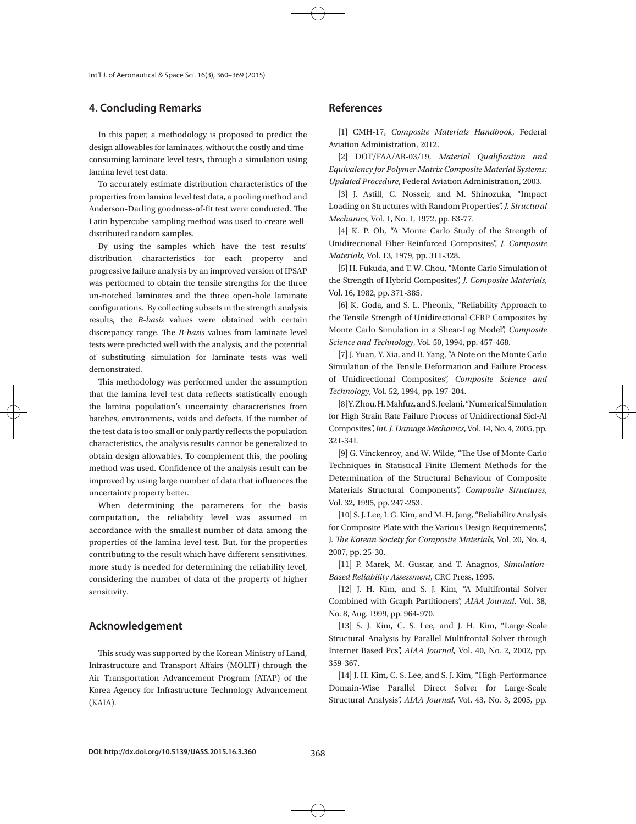Int'l J. of Aeronautical & Space Sci. 16(3), 360–369 (2015)

# **4. Concluding Remarks**

In this paper, a methodology is proposed to predict the design allowables for laminates, without the costly and timeconsuming laminate level tests, through a simulation using lamina level test data.

To accurately estimate distribution characteristics of the properties from lamina level test data, a pooling method and Anderson-Darling goodness-of-fit test were conducted. The Latin hypercube sampling method was used to create welldistributed random samples.

By using the samples which have the test results' distribution characteristics for each property and progressive failure analysis by an improved version of IPSAP was performed to obtain the tensile strengths for the three un-notched laminates and the three open-hole laminate configurations. By collecting subsets in the strength analysis results, the *B-basis* values were obtained with certain discrepancy range. The *B-basis* values from laminate level tests were predicted well with the analysis, and the potential of substituting simulation for laminate tests was well demonstrated.

This methodology was performed under the assumption that the lamina level test data reflects statistically enough the lamina population's uncertainty characteristics from batches, environments, voids and defects. If the number of the test data is too small or only partly reflects the population characteristics, the analysis results cannot be generalized to obtain design allowables. To complement this, the pooling method was used. Confidence of the analysis result can be improved by using large number of data that influences the uncertainty property better.

When determining the parameters for the basis computation, the reliability level was assumed in accordance with the smallest number of data among the properties of the lamina level test. But, for the properties contributing to the result which have different sensitivities, more study is needed for determining the reliability level, considering the number of data of the property of higher sensitivity.

# **Acknowledgement**

This study was supported by the Korean Ministry of Land, Infrastructure and Transport Affairs (MOLIT) through the Air Transportation Advancement Program (ATAP) of the Korea Agency for Infrastructure Technology Advancement (KAIA).

# **References**

[1] CMH-17, *Composite Materials Handbook*, Federal Aviation Administration, 2012.

[2] DOT/FAA/AR-03/19, *Material Qualification and Equivalency for Polymer Matrix Composite Material Systems: Updated Procedure*, Federal Aviation Administration, 2003.

[3] J. Astill, C. Nosseir, and M. Shinozuka, "Impact Loading on Structures with Random Properties", *J. Structural Mechanics*, Vol. 1, No. 1, 1972, pp. 63-77.

[4] K. P. Oh, "A Monte Carlo Study of the Strength of Unidirectional Fiber-Reinforced Composites", *J. Composite Materials*, Vol. 13, 1979, pp. 311-328.

[5] H. Fukuda, and T. W. Chou, "Monte Carlo Simulation of the Strength of Hybrid Composites", *J. Composite Materials*, Vol. 16, 1982, pp. 371-385.

[6] K. Goda, and S. L. Pheonix, "Reliability Approach to the Tensile Strength of Unidirectional CFRP Composites by Monte Carlo Simulation in a Shear-Lag Model", *Composite Science and Technology*, Vol. 50, 1994, pp. 457-468.

[7] J. Yuan, Y. Xia, and B. Yang, "A Note on the Monte Carlo Simulation of the Tensile Deformation and Failure Process of Unidirectional Composites", *Composite Science and Technology*, Vol. 52, 1994, pp. 197-204.

[8] Y. Zhou, H. Mahfuz, and S. Jeelani, "Numerical Simulation for High Strain Rate Failure Process of Unidirectional Sicf-Al Composites", *Int. J. Damage Mechanics*, Vol. 14, No. 4, 2005, pp. 321-341.

[9] G. Vinckenroy, and W. Wilde, "The Use of Monte Carlo Techniques in Statistical Finite Element Methods for the Determination of the Structural Behaviour of Composite Materials Structural Components", *Composite Structures*, Vol. 32, 1995, pp. 247-253.

[10] S. J. Lee, I. G. Kim, and M. H. Jang, "Reliability Analysis for Composite Plate with the Various Design Requirements", J. *The Korean Society for Composite Materials*, Vol. 20, No. 4, 2007, pp. 25-30.

[11] P. Marek, M. Gustar, and T. Anagnos, *Simulation-Based Reliability Assessment*, CRC Press, 1995.

[12] J. H. Kim, and S. J. Kim, "A Multifrontal Solver Combined with Graph Partitioners", *AIAA Journal*, Vol. 38, No. 8, Aug. 1999, pp. 964-970.

[13] S. J. Kim, C. S. Lee, and J. H. Kim, "Large-Scale Structural Analysis by Parallel Multifrontal Solver through Internet Based Pcs", *AIAA Journal*, Vol. 40, No. 2, 2002, pp. 359-367.

[14] J. H. Kim, C. S. Lee, and S. J. Kim, "High-Performance Domain-Wise Parallel Direct Solver for Large-Scale Structural Analysis", *AIAA Journal*, Vol. 43, No. 3, 2005, pp.